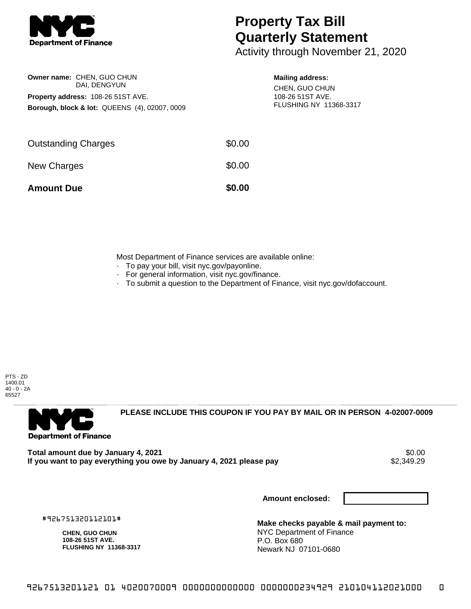

**Owner name:** CHEN, GUO CHUN

**Property address:** 108-26 51ST AVE.

DAI, DENGYUN

**Borough, block & lot:** QUEENS (4), 02007, 0009

## **Property Tax Bill Quarterly Statement**

Activity through November 21, 2020

## **Mailing address:**

CHEN, GUO CHUN 108-26 51ST AVE. FLUSHING NY 11368-3317

| <b>Amount Due</b>          | \$0.00 |
|----------------------------|--------|
| New Charges                | \$0.00 |
| <b>Outstanding Charges</b> | \$0.00 |
|                            |        |

Most Department of Finance services are available online:

- · To pay your bill, visit nyc.gov/payonline.
- For general information, visit nyc.gov/finance.
- · To submit a question to the Department of Finance, visit nyc.gov/dofaccount.

PTS - ZD 1400.01 40 - 0 - 2A 65527



**PLEASE INCLUDE THIS COUPON IF YOU PAY BY MAIL OR IN PERSON 4-02007-0009** 

**Total amount due by January 4, 2021** \$0.00 If you want to pay everything you owe by January 4, 2021 please pay

**Amount enclosed:**

#926751320112101#

**CHEN, GUO CHUN 108-26 51ST AVE. FLUSHING NY 11368-3317**

**Make checks payable & mail payment to:** NYC Department of Finance P.O. Box 680 Newark NJ 07101-0680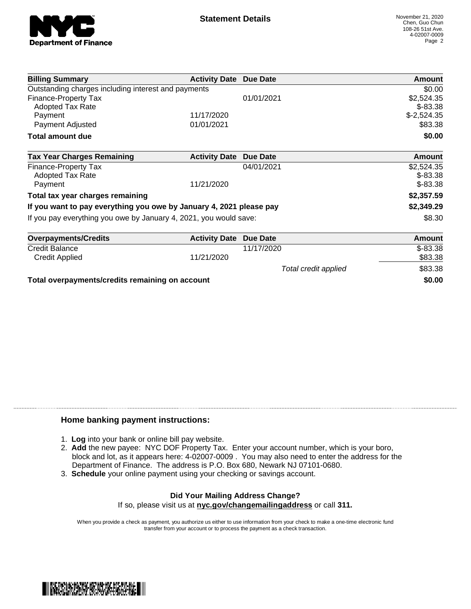

| <b>Billing Summary</b>                                              | <b>Activity Date Due Date</b> |                      | Amount        |
|---------------------------------------------------------------------|-------------------------------|----------------------|---------------|
| Outstanding charges including interest and payments                 |                               |                      | \$0.00        |
| <b>Finance-Property Tax</b>                                         |                               | 01/01/2021           | \$2,524.35    |
| <b>Adopted Tax Rate</b>                                             |                               |                      | $$ -83.38$    |
| Payment                                                             | 11/17/2020                    |                      | $$-2,524.35$  |
| Payment Adjusted                                                    | 01/01/2021                    |                      | \$83.38       |
| <b>Total amount due</b>                                             |                               |                      | \$0.00        |
| <b>Tax Year Charges Remaining</b>                                   | <b>Activity Date</b>          | Due Date             | <b>Amount</b> |
| <b>Finance-Property Tax</b>                                         |                               | 04/01/2021           | \$2,524.35    |
| <b>Adopted Tax Rate</b>                                             |                               |                      | $$-83.38$     |
| Payment                                                             | 11/21/2020                    |                      | $$-83.38$     |
| Total tax year charges remaining                                    |                               |                      | \$2,357.59    |
| If you want to pay everything you owe by January 4, 2021 please pay |                               |                      | \$2,349.29    |
| If you pay everything you owe by January 4, 2021, you would save:   |                               |                      | \$8.30        |
| <b>Overpayments/Credits</b>                                         | <b>Activity Date</b>          | Due Date             | Amount        |
| <b>Credit Balance</b>                                               |                               | 11/17/2020           | $$-83.38$     |
| <b>Credit Applied</b>                                               | 11/21/2020                    |                      | \$83.38       |
|                                                                     |                               | Total credit applied | \$83.38       |

**Total overpayments/credits remaining on account \$0.00**

## **Home banking payment instructions:**

- 1. **Log** into your bank or online bill pay website.
- 2. **Add** the new payee: NYC DOF Property Tax. Enter your account number, which is your boro, block and lot, as it appears here: 4-02007-0009 . You may also need to enter the address for the Department of Finance. The address is P.O. Box 680, Newark NJ 07101-0680.
- 3. **Schedule** your online payment using your checking or savings account.

## **Did Your Mailing Address Change?** If so, please visit us at **nyc.gov/changemailingaddress** or call **311.**

When you provide a check as payment, you authorize us either to use information from your check to make a one-time electronic fund

transfer from your account or to process the payment as a check transaction.